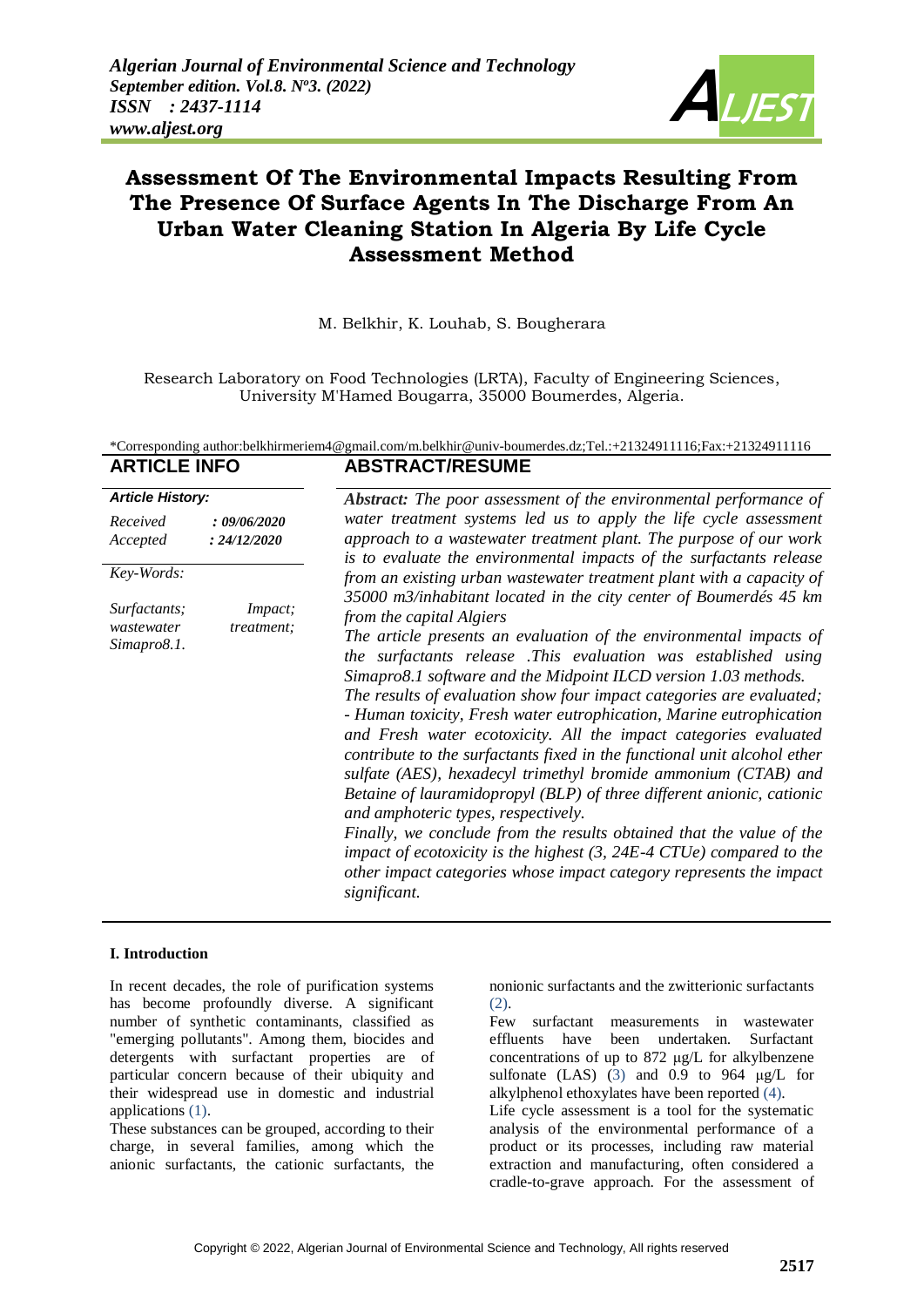

# **Assessment Of The Environmental Impacts Resulting From The Presence Of Surface Agents In The Discharge From An Urban Water Cleaning Station In Algeria By Life Cycle Assessment Method**

M. Belkhir, K. Louhab, S. Bougherara

Research Laboratory on Food Technologies (LRTA), Faculty of Engineering Sciences, University M'Hamed Bougarra, 35000 Boumerdes, Algeria.

## \*Corresponding author[:belkhirmeriem4@gmail.com/m.belkhir@univ-boumerdes.dz;T](mailto:belkhirmeriem4@gmail.com/)el.:+21324911116;Fax:+21324911116 **ARTICLE INFO ABSTRACT/RESUME**

| <b>Article History:</b>                   |                              |                                                                                                                                                                                                                                                                                                                                                                                                                                                                                                                                                                                                                                                                                                                                                                                                                                                                                                                                                                |  |  |  |  |
|-------------------------------------------|------------------------------|----------------------------------------------------------------------------------------------------------------------------------------------------------------------------------------------------------------------------------------------------------------------------------------------------------------------------------------------------------------------------------------------------------------------------------------------------------------------------------------------------------------------------------------------------------------------------------------------------------------------------------------------------------------------------------------------------------------------------------------------------------------------------------------------------------------------------------------------------------------------------------------------------------------------------------------------------------------|--|--|--|--|
|                                           |                              | <b>Abstract:</b> The poor assessment of the environmental performance of                                                                                                                                                                                                                                                                                                                                                                                                                                                                                                                                                                                                                                                                                                                                                                                                                                                                                       |  |  |  |  |
| Received<br>Accepted                      | : 09/06/2020<br>: 24/12/2020 | water treatment systems led us to apply the life cycle assessment<br>approach to a wastewater treatment plant. The purpose of our work<br>is to evaluate the environmental impacts of the surfactants release                                                                                                                                                                                                                                                                                                                                                                                                                                                                                                                                                                                                                                                                                                                                                  |  |  |  |  |
| Key-Words:                                |                              | from an existing urban wastewater treatment plant with a capacity of<br>35000 m3/inhabitant located in the city center of Boumerdés 45 km                                                                                                                                                                                                                                                                                                                                                                                                                                                                                                                                                                                                                                                                                                                                                                                                                      |  |  |  |  |
| Surfactants;<br>wastewater<br>Simapro8.1. | Impact;<br>treatment;        | from the capital Algiers<br>The article presents an evaluation of the environmental impacts of<br>the surfactants release .This evaluation was established using<br>Simapro8.1 software and the Midpoint ILCD version 1.03 methods.<br>The results of evaluation show four impact categories are evaluated;<br>- Human toxicity, Fresh water eutrophication, Marine eutrophication<br>and Fresh water ecotoxicity. All the impact categories evaluated<br>contribute to the surfactants fixed in the functional unit alcohol ether<br>sulfate (AES), hexadecyl trimethyl bromide ammonium (CTAB) and<br>Betaine of lauramidopropyl (BLP) of three different anionic, cationic<br>and amphoteric types, respectively.<br>Finally, we conclude from the results obtained that the value of the<br>impact of ecotoxicity is the highest $(3, 24E-4)$ CTUe) compared to the<br>other impact categories whose impact category represents the impact<br>significant. |  |  |  |  |

# **I. Introduction**

In recent decades, the role of purification systems has become profoundly diverse. A significant number of synthetic contaminants, classified as "emerging pollutants". Among them, biocides and detergents with surfactant properties are of particular concern because of their ubiquity and their widespread use in domestic and industrial applications (1).

These substances can be grouped, according to their charge, in several families, among which the anionic surfactants, the cationic surfactants, the nonionic surfactants and the zwitterionic surfactants (2).

Few surfactant measurements in wastewater effluents have been undertaken. Surfactant concentrations of up to 872 μg/L for alkylbenzene sulfonate (LAS) (3) and 0.9 to 964 μg/L for alkylphenol ethoxylates have been reported (4).

Life cycle assessment is a tool for the systematic analysis of the environmental performance of a product or its processes, including raw material extraction and manufacturing, often considered a cradle-to-grave approach. For the assessment of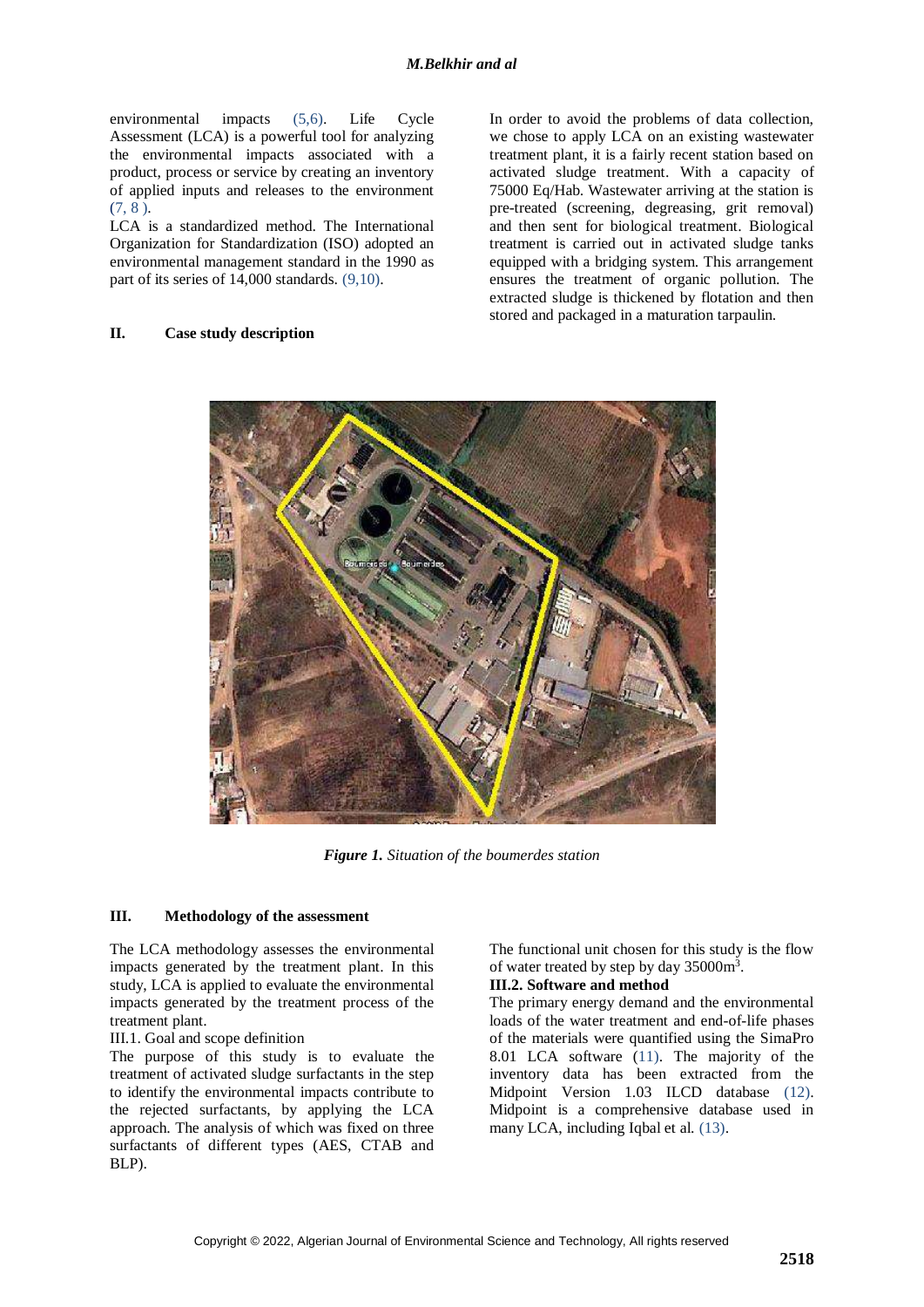environmental impacts (5,6). Life Cycle Assessment (LCA) is a powerful tool for analyzing the environmental impacts associated with a product, process or service by creating an inventory of applied inputs and releases to the environment  $(7, 8)$ .

LCA is a standardized method. The International Organization for Standardization (ISO) adopted an environmental management standard in the 1990 as part of its series of 14,000 standards. (9,10).

## **II. Case study description**

In order to avoid the problems of data collection, we chose to apply LCA on an existing wastewater treatment plant, it is a fairly recent station based on activated sludge treatment. With a capacity of 75000 Eq/Hab. Wastewater arriving at the station is pre-treated (screening, degreasing, grit removal) and then sent for biological treatment. Biological treatment is carried out in activated sludge tanks equipped with a bridging system. This arrangement ensures the treatment of organic pollution. The extracted sludge is thickened by flotation and then stored and packaged in a maturation tarpaulin.



*Figure 1. Situation of the boumerdes station*

## **III. Methodology of the assessment**

The LCA methodology assesses the environmental impacts generated by the treatment plant. In this study, LCA is applied to evaluate the environmental impacts generated by the treatment process of the treatment plant.

#### III.1. Goal and scope definition

The purpose of this study is to evaluate the treatment of activated sludge surfactants in the step to identify the environmental impacts contribute to the rejected surfactants, by applying the LCA approach. The analysis of which was fixed on three surfactants of different types (AES, CTAB and BLP).

The functional unit chosen for this study is the flow of water treated by step by day 35000m<sup>3</sup>.

## **III.2. Software and method**

The primary energy demand and the environmental loads of the water treatment and end-of-life phases of the materials were quantified using the SimaPro 8.01 LCA software (11). The majority of the inventory data has been extracted from the Midpoint Version 1.03 ILCD database (12). Midpoint is a comprehensive database used in many LCA, including Iqbal et al. (13).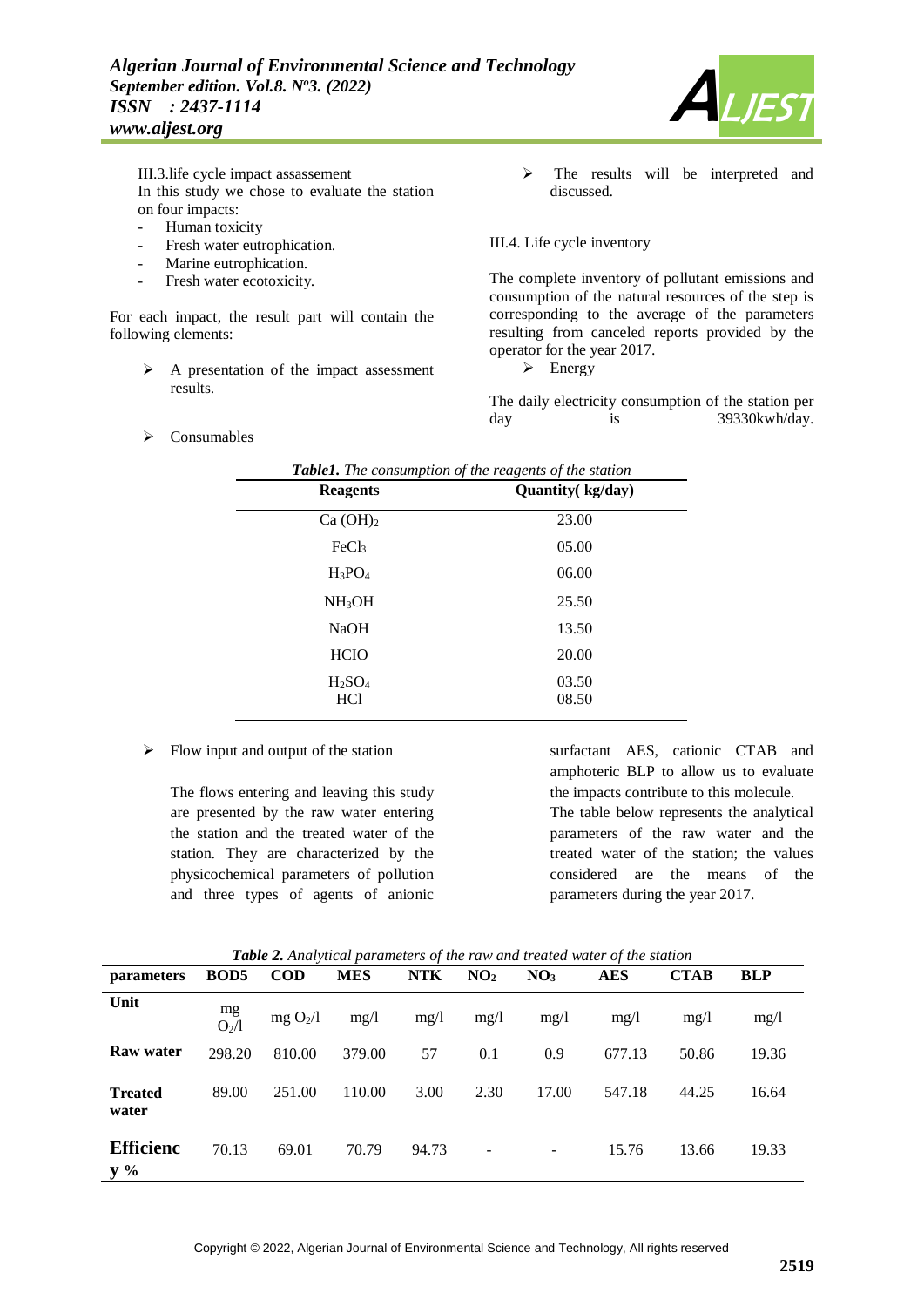

III.3.life cycle impact assassement In this study we chose to evaluate the station on four impacts:

- Human toxicity
- Fresh water eutrophication.
- Marine eutrophication.
- Fresh water ecotoxicity.

For each impact, the result part will contain the following elements:

- $\triangleright$  A presentation of the impact assessment results.
- $\triangleright$  Consumables

 $\triangleright$  The results will be interpreted and discussed.

#### III.4. Life cycle inventory

The complete inventory of pollutant emissions and consumption of the natural resources of the step is corresponding to the average of the parameters resulting from canceled reports provided by the operator for the year 2017.

 $\triangleright$  Energy

The daily electricity consumption of the station per day is 39330kwh/day.

| <b>Table1.</b> The consumption of the reagents of the station |                   |  |  |  |  |
|---------------------------------------------------------------|-------------------|--|--|--|--|
| <b>Reagents</b>                                               | Quantity (kg/day) |  |  |  |  |
| Ca(OH) <sub>2</sub>                                           | 23.00             |  |  |  |  |
| FeCl <sub>3</sub>                                             | 05.00             |  |  |  |  |
| $H_3PO_4$                                                     | 06.00             |  |  |  |  |
| NH <sub>3</sub> OH                                            | 25.50             |  |  |  |  |
| <b>NaOH</b>                                                   | 13.50             |  |  |  |  |
| <b>HCIO</b>                                                   | 20.00             |  |  |  |  |
| $H_2SO_4$<br>HC <sub>1</sub>                                  | 03.50<br>08.50    |  |  |  |  |

 $\triangleright$  Flow input and output of the station

The flows entering and leaving this study are presented by the raw water entering the station and the treated water of the station. They are characterized by the physicochemical parameters of pollution and three types of agents of anionic

surfactant AES, cationic CTAB and amphoteric BLP to allow us to evaluate the impacts contribute to this molecule. The table below represents the analytical parameters of the raw water and the treated water of the station; the values considered are the means of the parameters during the year 2017.

*Table 2. Analytical parameters of the raw and treated water of the station*

| <i>parameters</i>                   | <b>BOD5</b>             | <b>COD</b>           | <b>MES</b> | <b>NTK</b> | NO <sub>2</sub> | NO <sub>3</sub>          | <b>AES</b> | <b>CTAB</b> | <b>BLP</b> |
|-------------------------------------|-------------------------|----------------------|------------|------------|-----------------|--------------------------|------------|-------------|------------|
| Unit                                | mg<br>O <sub>2</sub> /1 | mg O <sub>2</sub> /l | mg/1       | mg/1       | mg/1            | mg/1                     | mg/l       | mg/1        | mg/1       |
| Raw water                           | 298.20                  | 810.00               | 379.00     | 57         | 0.1             | 0.9                      | 677.13     | 50.86       | 19.36      |
| <b>Treated</b><br>water             | 89.00                   | 251.00               | 110.00     | 3.00       | 2.30            | 17.00                    | 547.18     | 44.25       | 16.64      |
| <b>Efficienc</b><br>$y \frac{9}{6}$ | 70.13                   | 69.01                | 70.79      | 94.73      |                 | $\overline{\phantom{m}}$ | 15.76      | 13.66       | 19.33      |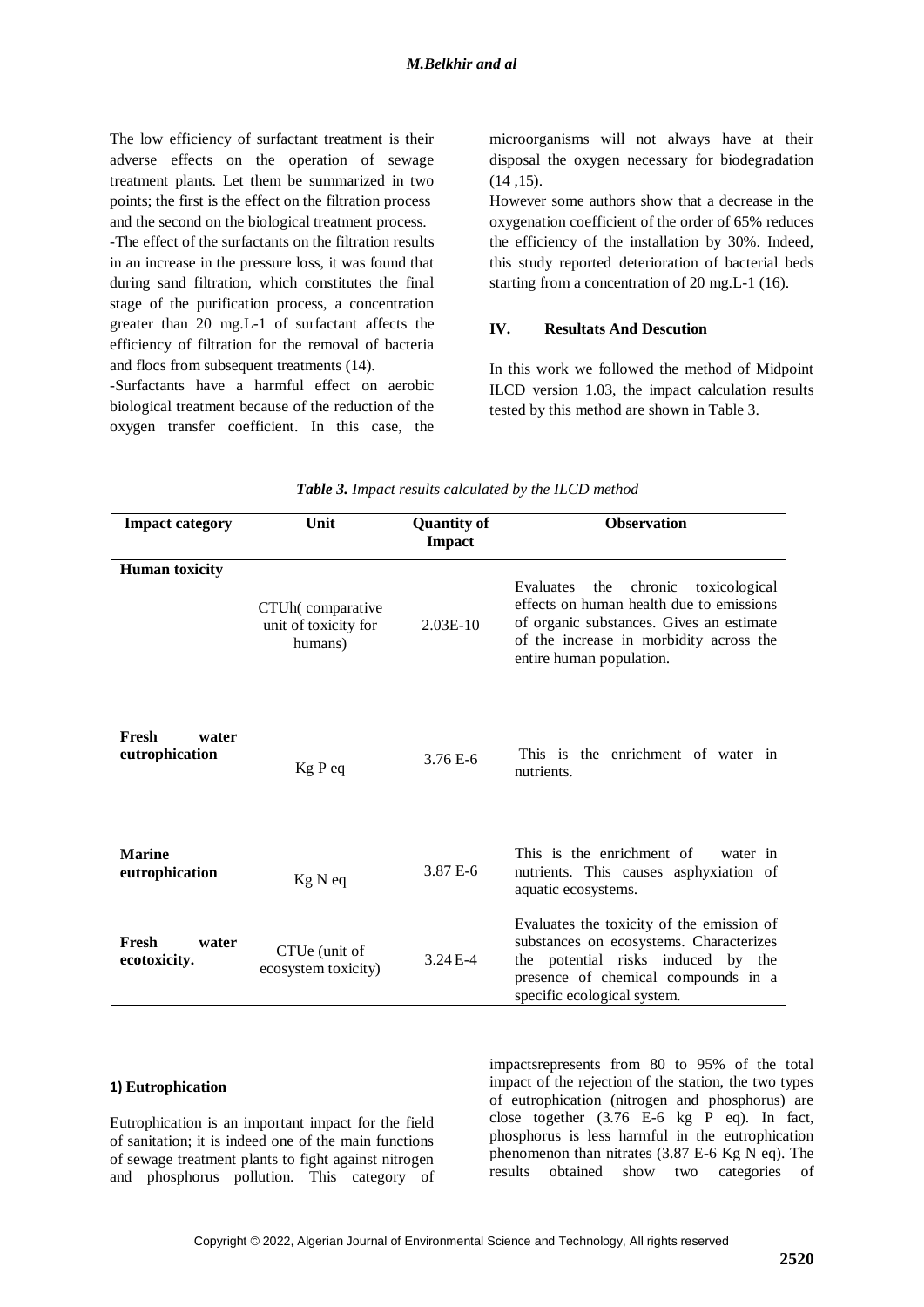The low efficiency of surfactant treatment is their adverse effects on the operation of sewage treatment plants. Let them be summarized in two points; the first is the effect on the filtration process and the second on the biological treatment process.

-The effect of the surfactants on the filtration results in an increase in the pressure loss, it was found that during sand filtration, which constitutes the final stage of the purification process, a concentration greater than 20 mg.L-1 of surfactant affects the efficiency of filtration for the removal of bacteria and flocs from subsequent treatments (14).

-Surfactants have a harmful effect on aerobic biological treatment because of the reduction of the oxygen transfer coefficient. In this case, the

microorganisms will not always have at their disposal the oxygen necessary for biodegradation (14 ,15).

However some authors show that a decrease in the oxygenation coefficient of the order of 65% reduces the efficiency of the installation by 30%. Indeed, this study reported deterioration of bacterial beds starting from a concentration of 20 mg.L-1 (16).

## **IV. Resultats And Descution**

In this work we followed the method of Midpoint ILCD version 1.03, the impact calculation results tested by this method are shown in Table 3.

| <b>Impact category</b>           | Unit                                                | <b>Quantity of</b><br><b>Impact</b> | <b>Observation</b>                                                                                                                                                                                          |  |  |
|----------------------------------|-----------------------------------------------------|-------------------------------------|-------------------------------------------------------------------------------------------------------------------------------------------------------------------------------------------------------------|--|--|
| <b>Human</b> toxicity            | CTUh(comparative<br>unit of toxicity for<br>humans) | $2.03E-10$                          | Evaluates<br>the<br>chronic<br>toxicological<br>effects on human health due to emissions<br>of organic substances. Gives an estimate<br>of the increase in morbidity across the<br>entire human population. |  |  |
| Fresh<br>water<br>eutrophication | Kg P eq                                             | 3.76 E-6                            | This is the enrichment of water in<br>nutrients.                                                                                                                                                            |  |  |
| <b>Marine</b><br>eutrophication  | Kg N eq                                             | 3.87 E-6                            | This is the enrichment of<br>water in<br>nutrients. This causes asphyxiation of<br>aquatic ecosystems.                                                                                                      |  |  |
| Fresh<br>water<br>ecotoxicity.   | CTUe (unit of<br>ecosystem toxicity)                | $3.24E - 4$                         | Evaluates the toxicity of the emission of<br>substances on ecosystems. Characterizes<br>the potential risks induced by the<br>presence of chemical compounds in a<br>specific ecological system.            |  |  |

## *Table 3. Impact results calculated by the ILCD method*

#### **1) Eutrophication**

Eutrophication is an important impact for the field of sanitation; it is indeed one of the main functions of sewage treatment plants to fight against nitrogen and phosphorus pollution. This category of

impactsrepresents from 80 to 95% of the total impact of the rejection of the station, the two types of eutrophication (nitrogen and phosphorus) are close together (3.76 E-6 kg P eq). In fact, phosphorus is less harmful in the eutrophication phenomenon than nitrates (3.87 E-6 Kg N eq). The results obtained show two categories of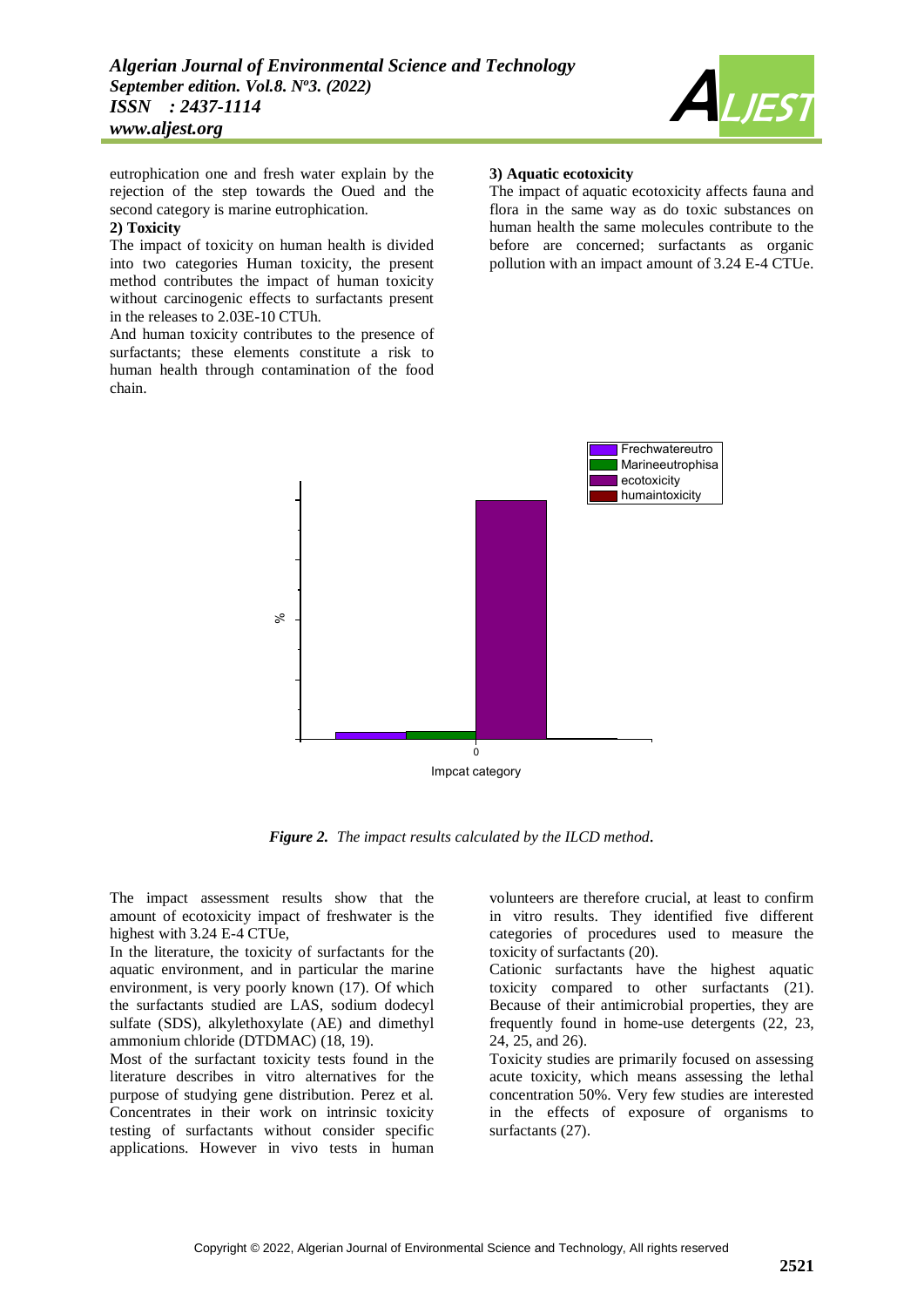

eutrophication one and fresh water explain by the rejection of the step towards the Oued and the second category is marine eutrophication.

#### **2) Toxicity**

The impact of toxicity on human health is divided into two categories Human toxicity, the present method contributes the impact of human toxicity without carcinogenic effects to surfactants present in the releases to 2.03E-10 CTUh.

And human toxicity contributes to the presence of surfactants; these elements constitute a risk to human health through contamination of the food chain.

### **3) Aquatic ecotoxicity**

The impact of aquatic ecotoxicity affects fauna and flora in the same way as do toxic substances on human health the same molecules contribute to the before are concerned; surfactants as organic pollution with an impact amount of 3.24 E-4 CTUe.



*Figure 2. The impact results calculated by the ILCD method.*

The impact assessment results show that the amount of ecotoxicity impact of freshwater is the highest with 3.24 E-4 CTUe,

In the literature, the toxicity of surfactants for the aquatic environment, and in particular the marine environment, is very poorly known (17). Of which the surfactants studied are LAS, sodium dodecyl sulfate (SDS), alkylethoxylate (AE) and dimethyl ammonium chloride (DTDMAC) (18, 19).

Most of the surfactant toxicity tests found in the literature describes in vitro alternatives for the purpose of studying gene distribution. Perez et al. Concentrates in their work on intrinsic toxicity testing of surfactants without consider specific applications. However in vivo tests in human

volunteers are therefore crucial, at least to confirm in vitro results. They identified five different categories of procedures used to measure the toxicity of surfactants (20).

Cationic surfactants have the highest aquatic toxicity compared to other surfactants (21). Because of their antimicrobial properties, they are frequently found in home-use detergents (22, 23, 24, 25, and 26).

Toxicity studies are primarily focused on assessing acute toxicity, which means assessing the lethal concentration 50%. Very few studies are interested in the effects of exposure of organisms to surfactants  $(27)$ .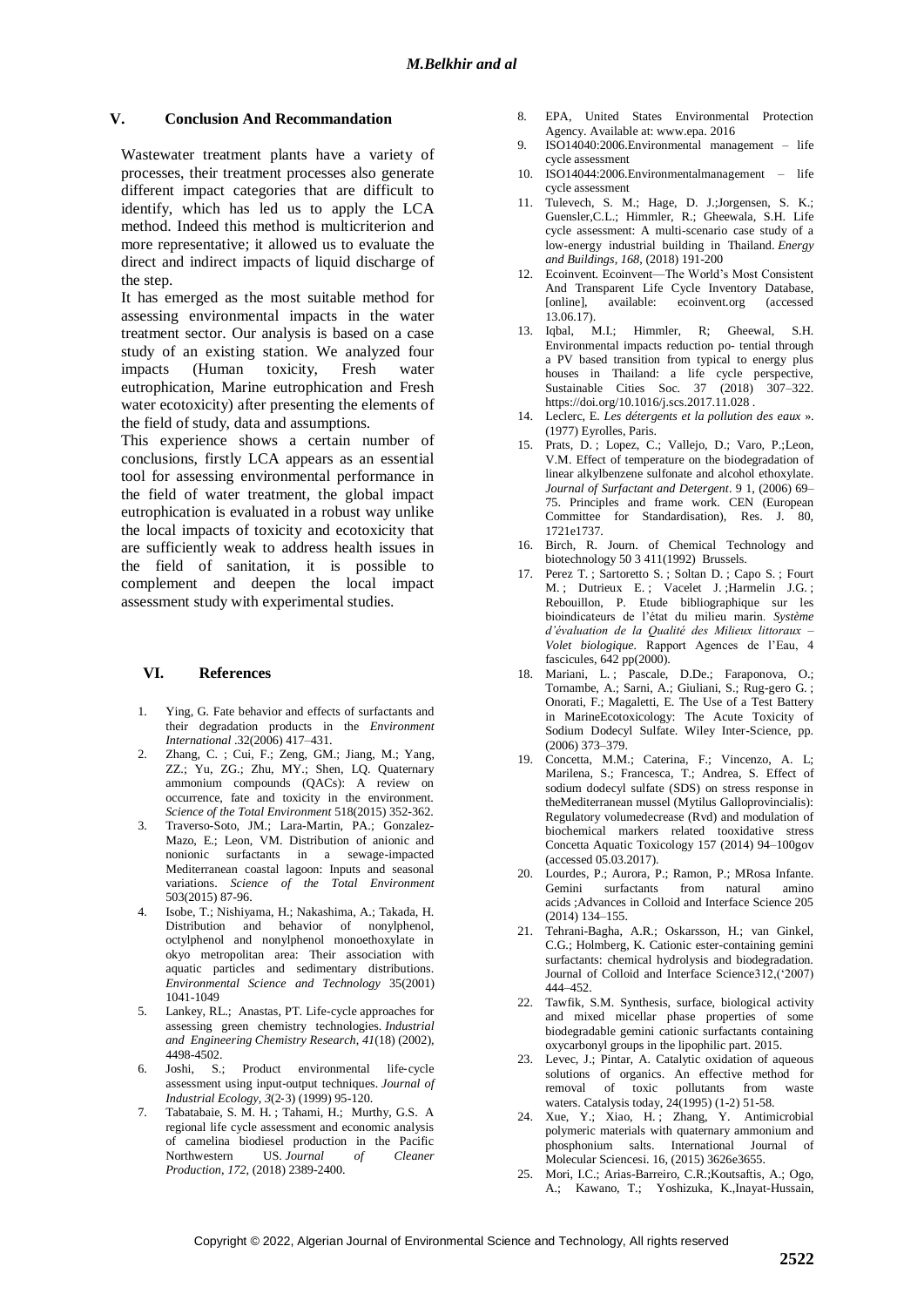## **V. Conclusion And Recommandation**

Wastewater treatment plants have a variety of processes, their treatment processes also generate different impact categories that are difficult to identify, which has led us to apply the LCA method. Indeed this method is multicriterion and more representative; it allowed us to evaluate the direct and indirect impacts of liquid discharge of the step.

It has emerged as the most suitable method for assessing environmental impacts in the water treatment sector. Our analysis is based on a case study of an existing station. We analyzed four impacts (Human toxicity, Fresh water eutrophication, Marine eutrophication and Fresh water ecotoxicity) after presenting the elements of the field of study, data and assumptions.

This experience shows a certain number of conclusions, firstly LCA appears as an essential tool for assessing environmental performance in the field of water treatment, the global impact eutrophication is evaluated in a robust way unlike the local impacts of toxicity and ecotoxicity that are sufficiently weak to address health issues in the field of sanitation, it is possible to complement and deepen the local impact assessment study with experimental studies.

## **VI. References**

- 1. Ying, G. Fate behavior and effects of surfactants and their degradation products in the *Environment International* .32(2006) 417–431.
- 2. Zhang, C. ; Cui, F.; Zeng, GM.; Jiang, M.; Yang, ZZ.; Yu, ZG.; Zhu, MY.; Shen, LQ. Quaternary ammonium compounds (QACs): A review on occurrence, fate and toxicity in the environment. *Science of the Total Environment* 518(2015) 352-362.
- 3. Traverso-Soto, JM.; Lara-Martin, PA.; Gonzalez-Mazo, E.; Leon, VM. Distribution of anionic and nonionic surfactants in a sewage-impacted Mediterranean coastal lagoon: Inputs and seasonal variations. *Science of the Total Environment* 503(2015) 87-96.
- 4. Isobe, T.; Nishiyama, H.; Nakashima, A.; Takada, H. Distribution and behavior of nonylphenol, octylphenol and nonylphenol monoethoxylate in okyo metropolitan area: Their association with aquatic particles and sedimentary distributions. *Environmental Science and Technology* 35(2001) 1041-1049
- 5. Lankey, RL.; Anastas, PT. Life-cycle approaches for assessing green chemistry technologies. *Industrial and Engineering Chemistry Research*, *41*(18) (2002), 4498-4502.<br>6. Joshi, S.;
- Product environmental life-cycle assessment using input‐output techniques. *Journal of Industrial Ecology*, *3*(2‐3) (1999) 95-120.
- 7. Tabatabaie, S. M. H. ; Tahami, H.; Murthy, G.S. A regional life cycle assessment and economic analysis of camelina biodiesel production in the Pacific<br>Northwestern US. Journal of Cleaner US. *Journal* of Cleaner *Production*, *172*, (2018) 2389-2400.
- 8. EPA, United States Environmental Protection Agency. Available at: www.epa. 2016
- 9. ISO14040:2006.Environmental management life cycle assessment
- 10. ISO14044:2006.Environmentalmanagement life cycle assessment
- 11. Tulevech, S. M.; Hage, D. J.;Jorgensen, S. K.; Guensler,C.L.; Himmler, R.; Gheewala, S.H. Life cycle assessment: A multi-scenario case study of a low-energy industrial building in Thailand. *Energy and Buildings*, *168*, (2018) 191-200
- 12. Ecoinvent. Ecoinvent—The World's Most Consistent And Transparent Life Cycle Inventory Database, [online], available: ecoinvent.org (accessed 13.06.17).
- 13. Iqbal, M.I.; Himmler, R; Gheewal, S.H. Environmental impacts reduction po- tential through a PV based transition from typical to energy plus houses in Thailand: a life cycle perspective, Sustainable Cities Soc. 37 (2018) 307–322. https://doi.org/10.1016/j.scs.2017.11.028.
- 14. Leclerc, E. *Les détergents et la pollution des eaux* ». (1977) Eyrolles, Paris.
- 15. Prats, D. ; Lopez, C.; Vallejo, D.; Varo, P.;Leon, V.M. Effect of temperature on the biodegradation of linear alkylbenzene sulfonate and alcohol ethoxylate. *Journal of Surfactant and Detergent*. 9 1, (2006) 69– 75. Principles and frame work. CEN (European Committee for Standardisation), Res. J. 80, 1721e1737.
- 16. Birch, R. Journ. of Chemical Technology and biotechnology 50 3 411(1992) Brussels.
- 17. Perez T. ; Sartoretto S. ; Soltan D. ; Capo S. ; Fourt M.; Dutrieux E.; Vacelet J.; Harmelin J.G.; Rebouillon, P. Etude bibliographique sur les bioindicateurs de l'état du milieu marin. *Système d'évaluation de la Qualité des Milieux littoraux – Volet biologique.* Rapport Agences de l'Eau, 4 fascicules,  $642$  pp(2000).
- 18. Mariani, L.; Pascale, D.De.; Faraponova, O.; Tornambe, A.; Sarni, A.; Giuliani, S.; Rug-gero G. ; Onorati, F.; Magaletti, E. The Use of a Test Battery in MarineEcotoxicology: The Acute Toxicity of Sodium Dodecyl Sulfate. Wiley Inter-Science, pp. (2006) 373–379.
- 19. Concetta, M.M.; Caterina, F.; Vincenzo, A. L; Marilena, S.; Francesca, T.; Andrea, S. Effect of sodium dodecyl sulfate (SDS) on stress response in theMediterranean mussel (Mytilus Galloprovincialis): Regulatory volumedecrease (Rvd) and modulation of biochemical markers related tooxidative stress Concetta Aquatic Toxicology 157 (2014) 94–100gov (accessed 05.03.2017).
- 20. Lourdes, P.; Aurora, P.; Ramon, P.; MRosa Infante. Gemini surfactants from natural amino acids ;Advances in Colloid and Interface Science 205 (2014) 134–155.
- 21. Tehrani-Bagha, A.R.; Oskarsson, H.; van Ginkel, C.G.; Holmberg, K. Cationic ester-containing gemini surfactants: chemical hydrolysis and biodegradation. Journal of Colloid and Interface Science312,('2007) 444–452.
- 22. Tawfik, S.M. Synthesis, surface, biological activity and mixed micellar phase properties of some biodegradable gemini cationic surfactants containing oxycarbonyl groups in the lipophilic part. 2015.
- 23. Levec, J.; Pintar, A. Catalytic oxidation of aqueous solutions of organics. An effective method for removal of toxic pollutants from waste waters. Catalysis today, 24(1995) (1-2) 51-58.
- 24. Xue, Y.; Xiao, H. ; Zhang, Y. Antimicrobial polymeric materials with quaternary ammonium and phosphonium salts. International Journal of Molecular Sciencesi. 16, (2015) 3626e3655.
- 25. Mori, I.C.; Arias-Barreiro, C.R.;Koutsaftis, A.; Ogo, A.; Kawano, T.; Yoshizuka, K.,Inayat-Hussain,